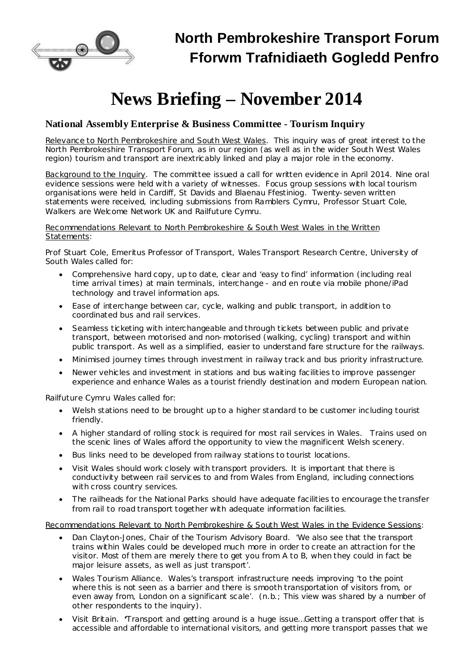

# **News Briefing – November 2014**

## **National Assembly Enterprise & Business Committee - Tourism Inquiry**

Relevance to North Pembrokeshire and South West Wales. This inquiry was of great interest to the North Pembrokeshire Transport Forum, as in our region (as well as in the wider South West Wales region) tourism and transport are inextricably linked and play a major role in the economy.

Background to the Inquiry. The committee issued a call for written evidence in April 2014. Nine oral evidence sessions were held with a variety of witnesses. Focus group sessions with local tourism organisations were held in Cardiff, St Davids and Blaenau Ffestiniog. Twenty-seven written statements were received, including submissions from Ramblers Cymru, Professor Stuart Cole, Walkers are Welcome Network UK and Railfuture Cymru.

Recommendations Relevant to North Pembrokeshire & South West Wales in the Written Statements:

*Prof Stuart Cole*, *Emeritus Professor of Transport, Wales Transport Research Centre, University of South Wales* called for:

- Comprehensive hard copy, up to date, clear and 'easy to find' information (including real time arrival times) at main terminals, interchange - and en route via mobile phone/iPad technology and travel information aps.
- Ease of interchange between car, cycle, walking and public transport, in addition to coordinated bus and rail services.
- Seamless ticketing with interchangeable and through tickets between public and private transport, between motorised and non-motorised (walking, cycling) transport and within public transport. As well as a simplified, easier to understand fare structure for the railways.
- · Minimised journey times through investment in railway track and bus priority infrastructure.
- · Newer vehicles and investment in stations and bus waiting facilities to improve passenger experience and enhance Wales as a tourist friendly destination and modern European nation.

*Railfuture Cymru Wales* called for:

- · Welsh stations need to be brought up to a higher standard to be customer including tourist friendly.
- · A higher standard of rolling stock is required for most rail services in Wales. Trains used on the scenic lines of Wales afford the opportunity to view the magnificent Welsh scenery.
- · Bus links need to be developed from railway stations to tourist locations.
- · Visit Wales should work closely with transport providers. It is important that there is conductivity between rail services to and from Wales from England, including connections with cross country services.
- · The railheads for the National Parks should have adequate facilities to encourage the transfer from rail to road transport together with adequate information facilities.

Recommendations Relevant to North Pembrokeshire & South West Wales in the Evidence Sessions:

- · *Dan Clayton-Jones, Chair of the Tourism Advisory Board.* 'We also see that the transport trains within Wales could be developed much more in order to create an attraction for the visitor. Most of them are merely there to get you from A to B, when they could in fact be major leisure assets, as well as just transport'.
- · *Wales Tourism Alliance*. Wales's transport infrastructure needs improving 'to the point where this is not seen as a barrier and there is smooth transportation of visitors from, or even away from, London on a significant scale'. (*n.b.*; This view was shared by a number of other respondents to the inquiry).
- · *Visit Britain*. **'**Transport and getting around is a huge issue…Getting a transport offer that is accessible and affordable to international visitors, and getting more transport passes that we